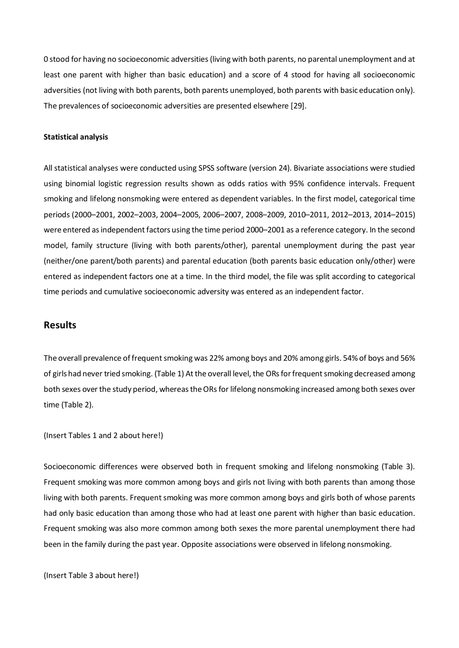0 stood for having no socioeconomic adversities (living with both parents, no parental unemployment and at least one parent with higher than basic education) and a score of 4 stood for having all socioeconomic adversities (not living with both parents, both parents unemployed, both parents with basic education only). The prevalences of socioeconomic adversities are presented elsewhere [29].

#### **Statistical analysis**

All statistical analyses were conducted using SPSS software (version 24). Bivariate associations were studied using binomial logistic regression results shown as odds ratios with 95% confidence intervals. Frequent smoking and lifelong nonsmoking were entered as dependent variables. In the first model, categorical time periods (2000–2001, 2002–2003, 2004–2005, 2006–2007, 2008–2009, 2010–2011, 2012–2013, 2014–2015) were entered as independent factors using the time period 2000–2001 as a reference category. In the second model, family structure (living with both parents/other), parental unemployment during the past year (neither/one parent/both parents) and parental education (both parents basic education only/other) were entered as independent factors one at a time. In the third model, the file was split according to categorical time periods and cumulative socioeconomic adversity was entered as an independent factor.

### **Results**

The overall prevalence of frequent smoking was 22% among boys and 20% among girls. 54% of boys and 56% of girls had never tried smoking. (Table 1) At the overall level, the ORs for frequent smoking decreased among both sexes over the study period, whereas the ORs for lifelong nonsmoking increased among both sexes over time (Table 2).

Socioeconomic differences were observed both in frequent smoking and lifelong nonsmoking (Table 3). Frequent smoking was more common among boys and girls not living with both parents than among those living with both parents. Frequent smoking was more common among boys and girls both of whose parents had only basic education than among those who had at least one parent with higher than basic education. Frequent smoking was also more common among both sexes the more parental unemployment there had been in the family during the past year. Opposite associations were observed in lifelong nonsmoking.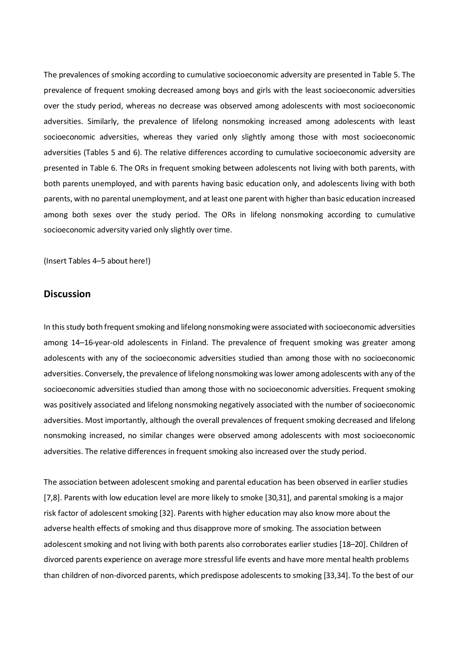The prevalences of smoking according to cumulative socioeconomic adversity are presented in Table 4. The prevalence of frequent smoking decreased among boys and girls with the least socioeconomic adversities over the study period, whereas no decrease was observed among adolescents with most socioeconomic adversities. Similarly, the prevalence of lifelong nonsmoking increased among adolescents with least socioeconomic adversities, whereas they varied only slightly among those with most socioeconomic adversities (Tables 4 and 5). The relative differences according to cumulative socioeconomic adversity are presented in Table 5. The ORs in frequent smoking between adolescents not living with both parents, with both parents unemployed, and with parents having basic education only, and adolescents living with both parents, with no parental unemployment, and at least one parent with higher than basic education increased among both sexes over the study period. The ORs in lifelong nonsmoking according to cumulative socioeconomic adversity varied only slightly over time.

### **Discussion**

In this study both frequent smoking and lifelong nonsmoking were associated with socioeconomic adversities among 14–16-year-old adolescents in Finland. The prevalence of frequent smoking was greater among adolescents with any of the socioeconomic adversities studied than among those with no socioeconomic adversities. Conversely, the prevalence of lifelong nonsmoking was lower among adolescents with any of the socioeconomic adversities studied than among those with no socioeconomic adversities. Frequent smoking was positively associated and lifelong nonsmoking negatively associated with the number of socioeconomic adversities. Most importantly, although the overall prevalences of frequent smoking decreased and lifelong nonsmoking increased, no similar changes were observed among adolescents with most socioeconomic adversities. The relative differences in frequent smoking also increased over the study period.

The association between adolescent smoking and parental education has been observed in earlier studies [7,8]. Parents with low education level are more likely to smoke [30,31], and parental smoking is a major risk factor of adolescent smoking [32]. Parents with higher education may also know more about the adverse health effects of smoking and thus disapprove more of smoking. The association between adolescent smoking and not living with both parents also corroborates earlier studies [18–20]. Children of divorced parents experience on average more stressful life events and have more mental health problems than children of non-divorced parents, which predispose adolescents to smoking [33,34]. To the best of our

6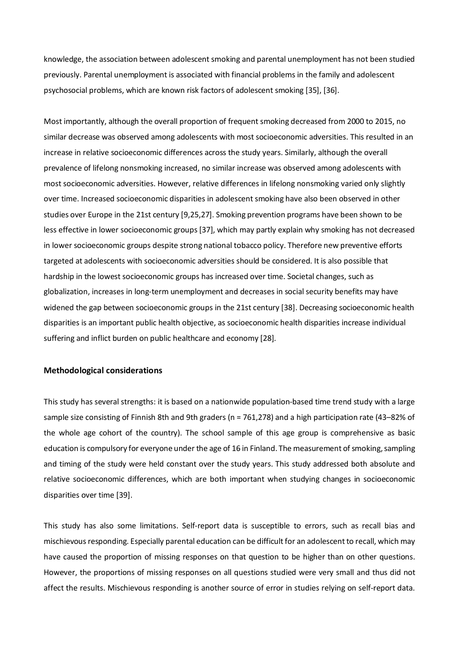knowledge, the association between adolescent smoking and parental unemployment has not been studied previously. Parental unemployment is associated with financial problems in the family and adolescent psychosocial problems, which are known risk factors of adolescent smoking [35], [36].

Most importantly, although the overall proportion of frequent smoking decreased from 2000 to 2015, no similar decrease was observed among adolescents with most socioeconomic adversities. This resulted in an increase in relative socioeconomic differences across the study years. Similarly, although the overall prevalence of lifelong nonsmoking increased, no similar increase was observed among adolescents with most socioeconomic adversities. However, relative differences in lifelong nonsmoking varied only slightly over time. Increased socioeconomic disparities in adolescent smoking have also been observed in other studies over Europe in the 21st century [9,25,27]. Smoking prevention programs have been shown to be less effective in lower socioeconomic groups[37], which may partly explain why smoking has not decreased in lower socioeconomic groups despite strong national tobacco policy. Therefore new preventive efforts targeted at adolescents with socioeconomic adversities should be considered. It is also possible that hardship in the lowest socioeconomic groups has increased over time. Societal changes, such as globalization, increases in long-term unemployment and decreases in social security benefits may have widened the gap between socioeconomic groups in the 21st century [38]. Decreasing socioeconomic health disparities is an important public health objective, as socioeconomic health disparities increase individual suffering and inflict burden on public healthcare and economy [28].

### **Methodological considerations**

This study has several strengths: it is based on a nationwide population-based time trend study with a large sample size consisting of Finnish 8th and 9th graders (n = 761,278) and a high participation rate (43–82% of the whole age cohort of the country). The school sample of this age group is comprehensive as basic education is compulsory for everyone under the age of 16 in Finland. The measurement of smoking, sampling and timing of the study were held constant over the study years. This study addressed both absolute and relative socioeconomic differences, which are both important when studying changes in socioeconomic disparities over time [39].

This study has also some limitations. Self-report data is susceptible to errors, such as recall bias and mischievous responding. Especially parental education can be difficult for an adolescent to recall, which may have caused the proportion of missing responses on that question to be higher than on other questions. However, the proportions of missing responses on all questions studied were very small and thus did not affect the results. Mischievous responding is another source of error in studies relying on self-report data.

7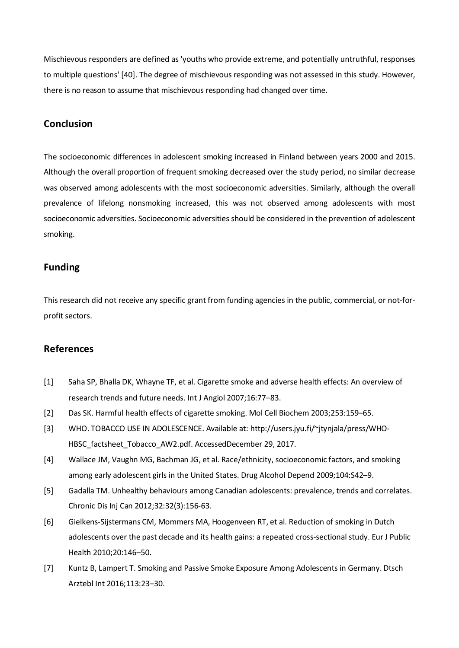Mischievous responders are defined as 'youths who provide extreme, and potentially untruthful, responses to multiple questions' [40]. The degree of mischievous responding was not assessed in this study. However, there is no reason to assume that mischievous responding had changed over time.

## **Conclusion**

The socioeconomic differences in adolescent smoking increased in Finland between years 2000 and 2015. Although the overall proportion of frequent smoking decreased over the study period, no similar decrease was observed among adolescents with the most socioeconomic adversities. Similarly, although the overall prevalence of lifelong nonsmoking increased, this was not observed among adolescents with most socioeconomic adversities. Socioeconomic adversities should be considered in the prevention of adolescent smoking.

## **Funding**

This research did not receive any specific grant from funding agencies in the public, commercial, or not-forprofit sectors.

# **References**

- [1] Saha SP, Bhalla DK, Whayne TF, et al. Cigarette smoke and adverse health effects: An overview of research trends and future needs. Int J Angiol 2007;16:77–83.
- [2] Das SK. Harmful health effects of cigarette smoking. Mol Cell Biochem 2003;253:159–65.
- [3] WHO. TOBACCO USE IN ADOLESCENCE. Available at: http://users.jyu.fi/~jtynjala/press/WHO-HBSC\_factsheet\_Tobacco\_AW2.pdf. AccessedDecember 29, 2017.
- [4] Wallace JM, Vaughn MG, Bachman JG, et al. Race/ethnicity, socioeconomic factors, and smoking among early adolescent girls in the United States. Drug Alcohol Depend 2009;104:S42–9.
- [5] Gadalla TM. Unhealthy behaviours among Canadian adolescents: prevalence, trends and correlates. Chronic Dis Inj Can 2012;32:32(3):156-63.
- [6] Gielkens-Sijstermans CM, Mommers MA, Hoogenveen RT, et al. Reduction of smoking in Dutch adolescents over the past decade and its health gains: a repeated cross-sectional study. Eur J Public Health 2010;20:146–50.
- [7] Kuntz B, Lampert T. Smoking and Passive Smoke Exposure Among Adolescents in Germany. Dtsch Arztebl Int 2016;113:23–30.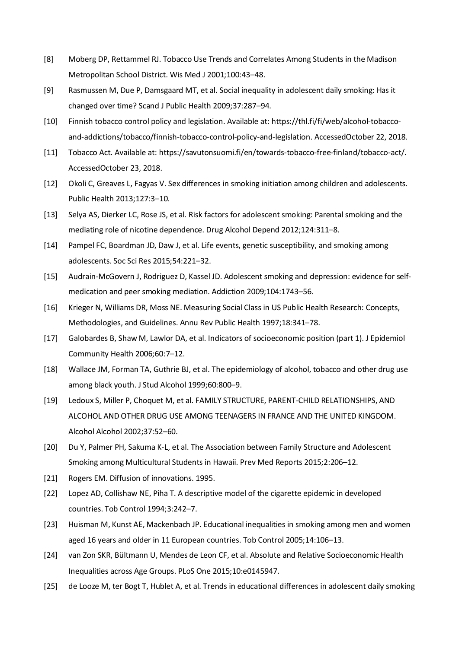- [8] Moberg DP, Rettammel RJ. Tobacco Use Trends and Correlates Among Students in the Madison Metropolitan School District. Wis Med J 2001;100:43–48.
- [9] Rasmussen M, Due P, Damsgaard MT, et al. Social inequality in adolescent daily smoking: Has it changed over time? Scand J Public Health 2009;37:287–94.
- [10] Finnish tobacco control policy and legislation. Available at: https://thl.fi/fi/web/alcohol-tobaccoand-addictions/tobacco/finnish-tobacco-control-policy-and-legislation. AccessedOctober 22, 2018.
- [11] Tobacco Act. Available at: https://savutonsuomi.fi/en/towards-tobacco-free-finland/tobacco-act/. AccessedOctober 23, 2018.
- [12] Okoli C, Greaves L, Fagyas V. Sex differences in smoking initiation among children and adolescents. Public Health 2013;127:3–10.
- [13] Selya AS, Dierker LC, Rose JS, et al. Risk factors for adolescent smoking: Parental smoking and the mediating role of nicotine dependence. Drug Alcohol Depend 2012;124:311–8.
- [14] Pampel FC, Boardman JD, Daw J, et al. Life events, genetic susceptibility, and smoking among adolescents. Soc Sci Res 2015;54:221–32.
- [15] Audrain-McGovern J, Rodriguez D, Kassel JD. Adolescent smoking and depression: evidence for selfmedication and peer smoking mediation. Addiction 2009;104:1743–56.
- [16] Krieger N, Williams DR, Moss NE. Measuring Social Class in US Public Health Research: Concepts, Methodologies, and Guidelines. Annu Rev Public Health 1997;18:341–78.
- [17] Galobardes B, Shaw M, Lawlor DA, et al. Indicators of socioeconomic position (part 1). J Epidemiol Community Health 2006;60:7–12.
- [18] Wallace JM, Forman TA, Guthrie BJ, et al. The epidemiology of alcohol, tobacco and other drug use among black youth. J Stud Alcohol 1999;60:800–9.
- [19] Ledoux S, Miller P, Choquet M, et al. FAMILY STRUCTURE, PARENT-CHILD RELATIONSHIPS, AND ALCOHOL AND OTHER DRUG USE AMONG TEENAGERS IN FRANCE AND THE UNITED KINGDOM. Alcohol Alcohol 2002;37:52–60.
- [20] Du Y, Palmer PH, Sakuma K-L, et al. The Association between Family Structure and Adolescent Smoking among Multicultural Students in Hawaii. Prev Med Reports 2015;2:206–12.
- [21] Rogers EM. Diffusion of innovations. 1995.
- [22] Lopez AD, Collishaw NE, Piha T. A descriptive model of the cigarette epidemic in developed countries. Tob Control 1994;3:242–7.
- [23] Huisman M, Kunst AE, Mackenbach JP. Educational inequalities in smoking among men and women aged 16 years and older in 11 European countries. Tob Control 2005;14:106–13.
- [24] van Zon SKR, Bültmann U, Mendes de Leon CF, et al. Absolute and Relative Socioeconomic Health Inequalities across Age Groups. PLoS One 2015;10:e0145947.
- [25] de Looze M, ter Bogt T, Hublet A, et al. Trends in educational differences in adolescent daily smoking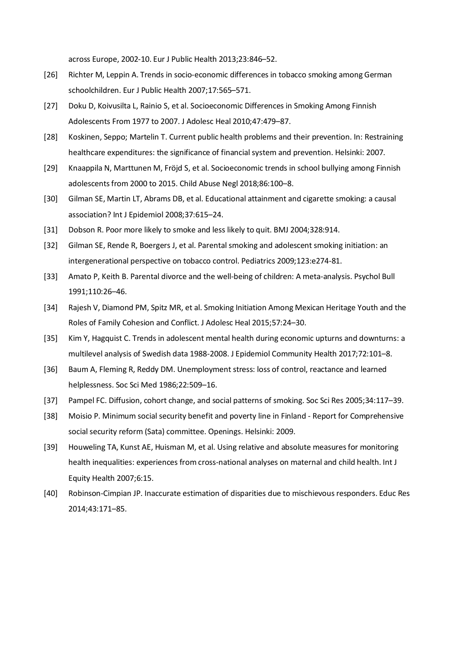across Europe, 2002-10. Eur J Public Health 2013;23:846–52.

- [26] Richter M, Leppin A. Trends in socio-economic differences in tobacco smoking among German schoolchildren. Eur J Public Health 2007;17:565–571.
- [27] Doku D, Koivusilta L, Rainio S, et al. Socioeconomic Differences in Smoking Among Finnish Adolescents From 1977 to 2007. J Adolesc Heal 2010;47:479–87.
- [28] Koskinen, Seppo; Martelin T. Current public health problems and their prevention. In: Restraining healthcare expenditures: the significance of financial system and prevention. Helsinki: 2007.
- [29] Knaappila N, Marttunen M, Fröjd S, et al. Socioeconomic trends in school bullying among Finnish adolescents from 2000 to 2015. Child Abuse Negl 2018;86:100–8.
- [30] Gilman SE, Martin LT, Abrams DB, et al. Educational attainment and cigarette smoking: a causal association? Int J Epidemiol 2008;37:615–24.
- [31] Dobson R. Poor more likely to smoke and less likely to quit. BMJ 2004;328:914.
- [32] Gilman SE, Rende R, Boergers J, et al. Parental smoking and adolescent smoking initiation: an intergenerational perspective on tobacco control. Pediatrics 2009;123:e274-81.
- [33] Amato P, Keith B. Parental divorce and the well-being of children: A meta-analysis. Psychol Bull 1991;110:26–46.
- [34] Rajesh V, Diamond PM, Spitz MR, et al. Smoking Initiation Among Mexican Heritage Youth and the Roles of Family Cohesion and Conflict. J Adolesc Heal 2015;57:24–30.
- [35] Kim Y, Hagquist C. Trends in adolescent mental health during economic upturns and downturns: a multilevel analysis of Swedish data 1988-2008. J Epidemiol Community Health 2017;72:101–8.
- [36] Baum A, Fleming R, Reddy DM. Unemployment stress: loss of control, reactance and learned helplessness. Soc Sci Med 1986;22:509–16.
- [37] Pampel FC. Diffusion, cohort change, and social patterns of smoking. Soc Sci Res 2005;34:117–39.
- [38] Moisio P. Minimum social security benefit and poverty line in Finland Report for Comprehensive social security reform (Sata) committee. Openings. Helsinki: 2009.
- [39] Houweling TA, Kunst AE, Huisman M, et al. Using relative and absolute measures for monitoring health inequalities: experiences from cross-national analyses on maternal and child health. Int J Equity Health 2007;6:15.
- [40] Robinson-Cimpian JP. Inaccurate estimation of disparities due to mischievous responders. Educ Res 2014;43:171–85.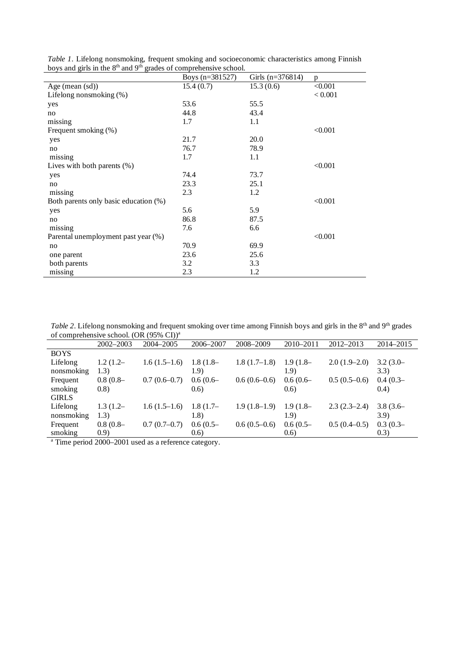|  |                                                                                           |  |  | Table 1. Lifelong nonsmoking, frequent smoking and socioeconomic characteristics among Finnish |  |
|--|-------------------------------------------------------------------------------------------|--|--|------------------------------------------------------------------------------------------------|--|
|  | boys and girls in the 8 <sup>th</sup> and 9 <sup>th</sup> grades of comprehensive school. |  |  |                                                                                                |  |

|                                       | Boys $(n=381527)$ | Girls $(n=376814)$ | p       |
|---------------------------------------|-------------------|--------------------|---------|
| Age (mean (sd))                       | 15.4(0.7)         | 15.3(0.6)          | < 0.001 |
| Lifelong nonsmoking (%)               |                   |                    | < 0.001 |
| yes                                   | 53.6              | 55.5               |         |
| no                                    | 44.8              | 43.4               |         |
| missing                               | 1.7               | 1.1                |         |
| Frequent smoking (%)                  |                   |                    | < 0.001 |
| yes                                   | 21.7              | 20.0               |         |
| no                                    | 76.7              | 78.9               |         |
| missing                               | 1.7               | 1.1                |         |
| Lives with both parents $(\%)$        |                   |                    | < 0.001 |
| yes                                   | 74.4              | 73.7               |         |
| no                                    | 23.3              | 25.1               |         |
| missing                               | 2.3               | 1.2                |         |
| Both parents only basic education (%) |                   |                    | < 0.001 |
| yes                                   | 5.6               | 5.9                |         |
| no                                    | 86.8              | 87.5               |         |
| missing                               | 7.6               | 6.6                |         |
| Parental unemployment past year (%)   |                   |                    | < 0.001 |
| no                                    | 70.9              | 69.9               |         |
| one parent                            | 23.6              | 25.6               |         |
| both parents                          | 3.2               | 3.3                |         |
| missing                               | 2.3               | 1.2                |         |

*Table 2*. Lifelong nonsmoking and frequent smoking over time among Finnish boys and girls in the 8<sup>th</sup> and 9<sup>th</sup> grades of comprehensive school. (OR (95% CI))<sup>a</sup>

|              | 2002-2003  | 2004–2005      | 2006-2007  | 2008-2009      | 2010-2011  | $2012 - 2013$  | 2014-2015  |
|--------------|------------|----------------|------------|----------------|------------|----------------|------------|
| <b>BOYS</b>  |            |                |            |                |            |                |            |
| Lifelong     | $1.2(1.2-$ | $1.6(1.5-1.6)$ | $1.8(1.8-$ | $1.8(1.7-1.8)$ | $1.9(1.8-$ | $2.0(1.9-2.0)$ | $3.2(3.0-$ |
| nonsmoking   | 1.3)       |                | 1.9)       |                | 1.9)       |                | 3.3)       |
| Frequent     | $0.8(0.8-$ | $0.7(0.6-0.7)$ | $0.6(0.6-$ | $0.6(0.6-0.6)$ | $0.6(0.6-$ | $0.5(0.5-0.6)$ | $0.4(0.3-$ |
| smoking      | (0.8)      |                | (0.6)      |                | (0.6)      |                | (0.4)      |
| <b>GIRLS</b> |            |                |            |                |            |                |            |
| Lifelong     | $1.3(1.2-$ | $1.6(1.5-1.6)$ | $1.8(1.7-$ | $1.9(1.8-1.9)$ | $1.9(1.8-$ | $2.3(2.3-2.4)$ | $3.8(3.6-$ |
| nonsmoking   | 1.3)       |                | 1.8)       |                | 1.9)       |                | 3.9)       |
| Frequent     | $0.8(0.8-$ | $0.7(0.7-0.7)$ | $0.6(0.5-$ | $0.6(0.5-0.6)$ | $0.6(0.5-$ | $0.5(0.4-0.5)$ | $0.3(0.3-$ |
| smoking      | (0.9)      |                | (0.6)      |                | (0.6)      |                | (0.3)      |

a Time period 2000-2001 used as a reference category.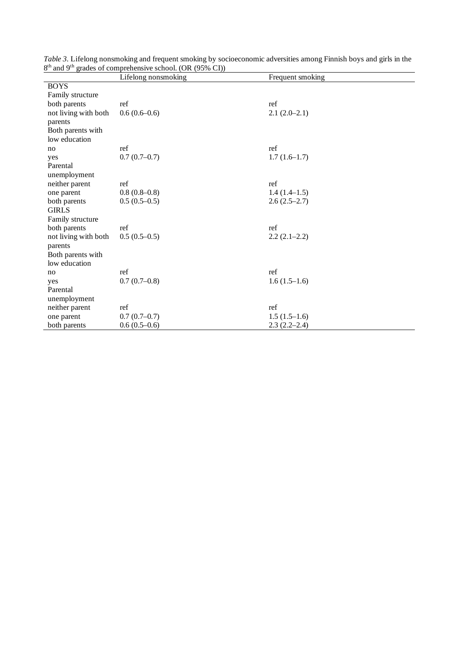|                      | Lifelong nonsmoking | Frequent smoking |
|----------------------|---------------------|------------------|
| <b>BOYS</b>          |                     |                  |
| Family structure     |                     |                  |
| both parents         | ref                 | ref              |
| not living with both | $0.6(0.6-0.6)$      | $2.1(2.0-2.1)$   |
| parents              |                     |                  |
| Both parents with    |                     |                  |
| low education        |                     |                  |
| no                   | ref                 | ref              |
| yes                  | $0.7(0.7-0.7)$      | $1.7(1.6-1.7)$   |
| Parental             |                     |                  |
| unemployment         |                     |                  |
| neither parent       | ref                 | ref              |
| one parent           | $0.8(0.8-0.8)$      | $1.4(1.4-1.5)$   |
| both parents         | $0.5(0.5-0.5)$      | $2.6(2.5-2.7)$   |
| <b>GIRLS</b>         |                     |                  |
| Family structure     |                     |                  |
| both parents         | ref                 | ref              |
| not living with both | $0.5(0.5-0.5)$      | $2.2(2.1-2.2)$   |
| parents              |                     |                  |
| Both parents with    |                     |                  |
| low education        |                     |                  |
| no                   | ref                 | ref              |
| yes                  | $0.7(0.7-0.8)$      | $1.6(1.5-1.6)$   |
| Parental             |                     |                  |
| unemployment         |                     |                  |
| neither parent       | ref                 | ref              |
| one parent           | $0.7(0.7-0.7)$      | $1.5(1.5-1.6)$   |
| both parents         | $0.6(0.5-0.6)$      | $2.3(2.2-2.4)$   |

|                                                                                   |  |  | Table 3. Lifelong nonsmoking and frequent smoking by socioeconomic adversities among Finnish boys and girls in the |  |
|-----------------------------------------------------------------------------------|--|--|--------------------------------------------------------------------------------------------------------------------|--|
| 8 <sup>th</sup> and 9 <sup>th</sup> grades of comprehensive school. (OR (95% CI)) |  |  |                                                                                                                    |  |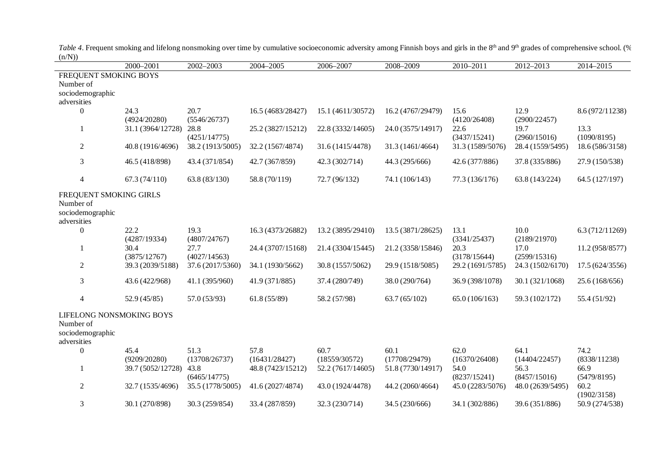|                          | 2000-2001         | 2002-2003            | 2004-2005         | 2006-2007         | 2008-2009         | 2010-2011            | 2012-2013            | 2014-2015           |
|--------------------------|-------------------|----------------------|-------------------|-------------------|-------------------|----------------------|----------------------|---------------------|
| FREQUENT SMOKING BOYS    |                   |                      |                   |                   |                   |                      |                      |                     |
| Number of                |                   |                      |                   |                   |                   |                      |                      |                     |
| sociodemographic         |                   |                      |                   |                   |                   |                      |                      |                     |
| adversities              |                   |                      |                   |                   |                   |                      |                      |                     |
| $\boldsymbol{0}$         | 24.3              | 20.7                 | 16.5 (4683/28427) | 15.1 (4611/30572) | 16.2 (4767/29479) | 15.6                 | 12.9                 | 8.6 (972/11238)     |
|                          | (4924/20280)      | (5546/26737)         |                   |                   |                   | (4120/26408)         | (2900/22457)         |                     |
| 1                        | 31.1 (3964/12728) | 28.8<br>(4251/14775) | 25.2 (3827/15212) | 22.8 (3332/14605) | 24.0 (3575/14917) | 22.6<br>(3437/15241) | 19.7<br>(2960/15016) | 13.3<br>(1090/8195) |
| $\overline{2}$           | 40.8 (1916/4696)  | 38.2 (1913/5005)     | 32.2 (1567/4874)  | 31.6 (1415/4478)  | 31.3 (1461/4664)  | 31.3 (1589/5076)     | 28.4 (1559/5495)     | 18.6 (586/3158)     |
|                          |                   |                      |                   |                   |                   |                      |                      |                     |
| $\mathfrak{Z}$           | 46.5 (418/898)    | 43.4 (371/854)       | 42.7 (367/859)    | 42.3 (302/714)    | 44.3 (295/666)    | 42.6 (377/886)       | 37.8 (335/886)       | 27.9 (150/538)      |
|                          | 67.3(74/110)      | 63.8(83/130)         | 58.8 (70/119)     | 72.7 (96/132)     | 74.1 (106/143)    | 77.3 (136/176)       |                      | 64.5 (127/197)      |
| $\overline{4}$           |                   |                      |                   |                   |                   |                      | 63.8 (143/224)       |                     |
| FREQUENT SMOKING GIRLS   |                   |                      |                   |                   |                   |                      |                      |                     |
| Number of                |                   |                      |                   |                   |                   |                      |                      |                     |
| sociodemographic         |                   |                      |                   |                   |                   |                      |                      |                     |
| adversities              |                   |                      |                   |                   |                   |                      |                      |                     |
| $\boldsymbol{0}$         | 22.2              | 19.3                 | 16.3 (4373/26882) | 13.2 (3895/29410) | 13.5 (3871/28625) | 13.1                 | 10.0                 | 6.3(712/11269)      |
|                          | (4287/19334)      | (4807/24767)         |                   |                   |                   | (3341/25437)         | (2189/21970)         |                     |
|                          | 30.4              | 27.7                 | 24.4 (3707/15168) | 21.4 (3304/15445) | 21.2 (3358/15846) | 20.3                 | 17.0                 | 11.2 (958/8577)     |
|                          | (3875/12767)      | (4027/14563)         |                   |                   |                   | (3178/15644)         | (2599/15316)         |                     |
| $\overline{2}$           | 39.3 (2039/5188)  | 37.6 (2017/5360)     | 34.1 (1930/5662)  | 30.8 (1557/5062)  | 29.9 (1518/5085)  | 29.2 (1691/5785)     | 24.3 (1502/6170)     | 17.5 (624/3556)     |
| 3                        | 43.6 (422/968)    | 41.1 (395/960)       | 41.9 (371/885)    | 37.4 (280/749)    | 38.0 (290/764)    | 36.9 (398/1078)      | 30.1 (321/1068)      | 25.6 (168/656)      |
|                          |                   |                      |                   |                   |                   |                      |                      |                     |
| $\overline{4}$           | 52.9(45/85)       | 57.0 (53/93)         | 61.8(55/89)       | 58.2 (57/98)      | 63.7(65/102)      | 65.0(106/163)        | 59.3 (102/172)       | 55.4 (51/92)        |
| LIFELONG NONSMOKING BOYS |                   |                      |                   |                   |                   |                      |                      |                     |
| Number of                |                   |                      |                   |                   |                   |                      |                      |                     |
| sociodemographic         |                   |                      |                   |                   |                   |                      |                      |                     |
| adversities              |                   |                      |                   |                   |                   |                      |                      |                     |
| $\boldsymbol{0}$         | 45.4              | 51.3                 | 57.8              | 60.7              | 60.1              | 62.0                 | 64.1                 | 74.2                |
|                          | (9209/20280)      | (13708/26737)        | (16431/28427)     | (18559/30572)     | (17708/29479)     | (16370/26408)        | (14404/22457)        | (8338/11238)        |
| 1                        | 39.7 (5052/12728) | 43.8                 | 48.8 (7423/15212) | 52.2 (7617/14605) | 51.8 (7730/14917) | 54.0                 | 56.3                 | 66.9                |
|                          |                   | (6465/14775)         |                   |                   |                   | (8237/15241)         | (8457/15016)         | (5479/8195)         |
| $\overline{2}$           | 32.7 (1535/4696)  | 35.5 (1778/5005)     | 41.6 (2027/4874)  | 43.0 (1924/4478)  | 44.2 (2060/4664)  | 45.0 (2283/5076)     | 48.0 (2639/5495)     | 60.2                |
|                          |                   |                      |                   |                   |                   |                      |                      | (1902/3158)         |
| 3                        | 30.1 (270/898)    | 30.3 (259/854)       | 33.4 (287/859)    | 32.3 (230/714)    | 34.5 (230/666)    | 34.1 (302/886)       | 39.6 (351/886)       | 50.9 (274/538)      |

Table 4. Frequent smoking and lifelong nonsmoking over time by cumulative socioeconomic adversity among Finnish boys and girls in the 8<sup>th</sup> and 9<sup>th</sup> grades of comprehensive school. (%  $(n/N))$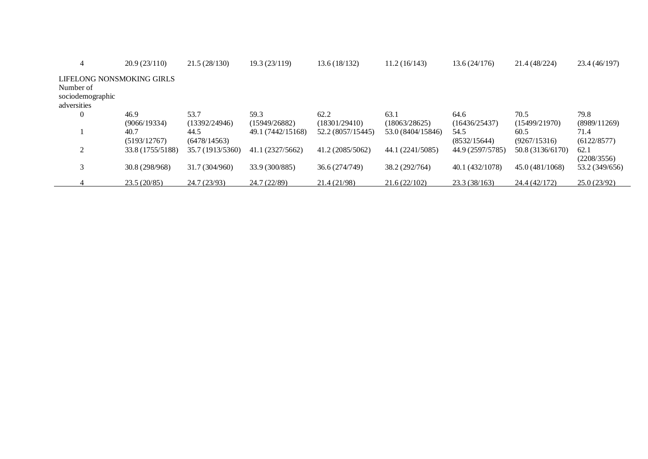| 4                         | 20.9(23/110)     | 21.5(28/130)     | 19.3(23/119)      | 13.6(18/132)      | 11.2(16/143)      | 13.6(24/176)     | 21.4 (48/224)    | 23.4 (46/197)  |
|---------------------------|------------------|------------------|-------------------|-------------------|-------------------|------------------|------------------|----------------|
| LIFELONG NONSMOKING GIRLS |                  |                  |                   |                   |                   |                  |                  |                |
| Number of                 |                  |                  |                   |                   |                   |                  |                  |                |
| sociodemographic          |                  |                  |                   |                   |                   |                  |                  |                |
| adversities               |                  |                  |                   |                   |                   |                  |                  |                |
| $\mathbf{0}$              | 46.9             | 53.7             | 59.3              | 62.2              | 63.1              | 64.6             | 70.5             | 79.8           |
|                           | (9066/19334)     | (13392/24946)    | (15949/26882)     | (18301/29410)     | (18063/28625)     | (16436/25437)    | (15499/21970)    | (8989/11269)   |
|                           | 40.7             | 44.5             | 49.1 (7442/15168) | 52.2 (8057/15445) | 53.0 (8404/15846) | 54.5             | 60.5             | 71.4           |
|                           | (5193/12767)     | (6478/14563)     |                   |                   |                   | (8532/15644)     | (9267/15316)     | (6122/8577)    |
| $\mathfrak{D}$            | 33.8 (1755/5188) | 35.7 (1913/5360) | 41.1 (2327/5662)  | 41.2 (2085/5062)  | 44.1 (2241/5085)  | 44.9 (2597/5785) | 50.8 (3136/6170) | 62.1           |
|                           |                  |                  |                   |                   |                   |                  |                  | (2208/3556)    |
|                           | 30.8 (298/968)   | 31.7 (304/960)   | 33.9 (300/885)    | 36.6 (274/749)    | 38.2 (292/764)    | 40.1 (432/1078)  | 45.0 (481/1068)  | 53.2 (349/656) |
|                           |                  |                  |                   |                   |                   |                  |                  |                |
|                           | 23.5(20/85)      | 24.7(23/93)      | 24.7 (22/89)      | 21.4 (21/98)      | 21.6(22/102)      | 23.3(38/163)     | 24.4 (42/172)    | 25.0(23/92)    |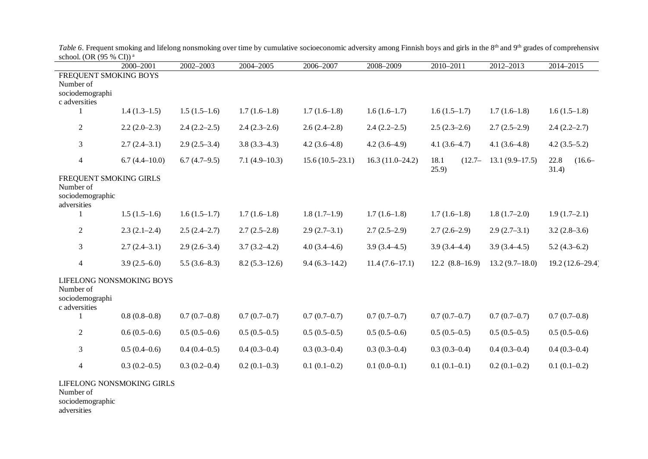|                                                                        | 2000-2001                                  | 2002-2003      | 2004-2005       | 2006-2007         | 2008-2009         | 2010-2011         | 2012-2013        | 2014-2015         |
|------------------------------------------------------------------------|--------------------------------------------|----------------|-----------------|-------------------|-------------------|-------------------|------------------|-------------------|
| FREQUENT SMOKING BOYS<br>Number of<br>sociodemographi                  |                                            |                |                 |                   |                   |                   |                  |                   |
| c adversities<br>$\mathbf{1}$                                          | $1.4(1.3-1.5)$                             | $1.5(1.5-1.6)$ | $1.7(1.6-1.8)$  | $1.7(1.6-1.8)$    | $1.6(1.6-1.7)$    | $1.6(1.5-1.7)$    | $1.7(1.6-1.8)$   | $1.6(1.5-1.8)$    |
| $\overline{2}$                                                         | $2.2(2.0-2.3)$                             | $2.4(2.2-2.5)$ | $2.4(2.3-2.6)$  | $2.6(2.4-2.8)$    | $2.4(2.2-2.5)$    | $2.5(2.3-2.6)$    | $2.7(2.5-2.9)$   | $2.4(2.2-2.7)$    |
| $\overline{3}$                                                         | $2.7(2.4-3.1)$                             | $2.9(2.5-3.4)$ | $3.8(3.3-4.3)$  | $4.2(3.6-4.8)$    | $4.2(3.6-4.9)$    | $4.1(3.6-4.7)$    | $4.1(3.6-4.8)$   | $4.2(3.5-5.2)$    |
| $\overline{4}$                                                         | $6.7(4.4 - 10.0)$                          | $6.7(4.7-9.5)$ | $7.1(4.9-10.3)$ | $15.6(10.5-23.1)$ | $16.3(11.0-24.2)$ | 18.1<br>$(12.7 -$ | $13.1(9.9-17.5)$ | 22.8<br>$(16.6 -$ |
| FREQUENT SMOKING GIRLS<br>Number of<br>sociodemographic<br>adversities |                                            |                |                 |                   |                   | (25.9)            |                  | 31.4)             |
| 1                                                                      | $1.5(1.5-1.6)$                             | $1.6(1.5-1.7)$ | $1.7(1.6-1.8)$  | $1.8(1.7-1.9)$    | $1.7(1.6-1.8)$    | $1.7(1.6-1.8)$    | $1.8(1.7-2.0)$   | $1.9(1.7-2.1)$    |
| $\overline{2}$                                                         | $2.3(2.1-2.4)$                             | $2.5(2.4-2.7)$ | $2.7(2.5-2.8)$  | $2.9(2.7-3.1)$    | $2.7(2.5-2.9)$    | $2.7(2.6-2.9)$    | $2.9(2.7-3.1)$   | $3.2(2.8-3.6)$    |
| 3                                                                      | $2.7(2.4-3.1)$                             | $2.9(2.6-3.4)$ | $3.7(3.2-4.2)$  | $4.0(3.4 - 4.6)$  | $3.9(3.4 - 4.5)$  | $3.9(3.4 - 4.4)$  | $3.9(3.4 - 4.5)$ | $5.2(4.3-6.2)$    |
| $\overline{4}$                                                         | $3.9(2.5-6.0)$                             | $5.5(3.6-8.3)$ | $8.2(5.3-12.6)$ | $9.4(6.3-14.2)$   | $11.4(7.6-17.1)$  | $12.2(8.8-16.9)$  | $13.2(9.7-18.0)$ | 19.2 (12.6-29.4)  |
| Number of<br>sociodemographi<br>c adversities<br>1                     | LIFELONG NONSMOKING BOYS<br>$0.8(0.8-0.8)$ | $0.7(0.7-0.8)$ | $0.7(0.7-0.7)$  | $0.7(0.7-0.7)$    | $0.7(0.7-0.7)$    | $0.7(0.7-0.7)$    | $0.7(0.7-0.7)$   | $0.7(0.7-0.8)$    |
|                                                                        |                                            |                |                 |                   |                   |                   |                  |                   |
| $\overline{2}$                                                         | $0.6(0.5-0.6)$                             | $0.5(0.5-0.6)$ | $0.5(0.5-0.5)$  | $0.5(0.5-0.5)$    | $0.5(0.5-0.6)$    | $0.5(0.5-0.5)$    | $0.5(0.5-0.5)$   | $0.5(0.5-0.6)$    |
| $\overline{3}$                                                         | $0.5(0.4-0.6)$                             | $0.4(0.4-0.5)$ | $0.4(0.3-0.4)$  | $0.3(0.3-0.4)$    | $0.3(0.3-0.4)$    | $0.3(0.3-0.4)$    | $0.4(0.3-0.4)$   | $0.4(0.3-0.4)$    |
| 4                                                                      | $0.3(0.2-0.5)$                             | $0.3(0.2-0.4)$ | $0.2(0.1-0.3)$  | $0.1(0.1-0.2)$    | $0.1(0.0-0.1)$    | $0.1(0.1-0.1)$    | $0.2(0.1-0.2)$   | $0.1(0.1-0.2)$    |
| Number of<br>sociodemographic<br>adversities                           | LIFELONG NONSMOKING GIRLS                  |                |                 |                   |                   |                   |                  |                   |

*Table 5*. Frequent smoking and lifelong nonsmoking over time by cumulative socioeconomic adversity among Finnish boys and girls in the 8<sup>th</sup> and 9<sup>th</sup> grades of comprehensive school. (OR (95 % CI))<sup>a</sup>